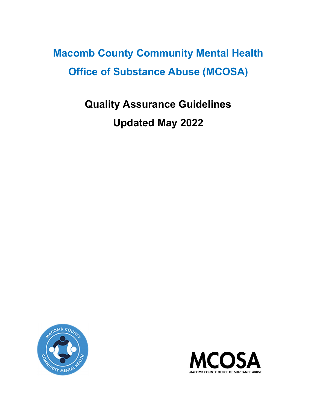# Macomb County Community Mental Health Office of Substance Abuse (MCOSA)

# Quality Assurance Guidelines Updated May 2022



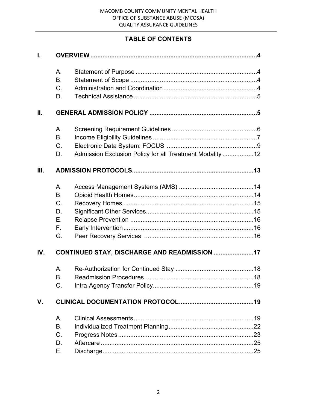# TABLE OF CONTENTS

| T.   |             |                                                          |  |  |
|------|-------------|----------------------------------------------------------|--|--|
|      | A.          |                                                          |  |  |
|      | <b>B.</b>   |                                                          |  |  |
|      | C.          |                                                          |  |  |
|      | D.          |                                                          |  |  |
| Ш.   |             |                                                          |  |  |
|      | Α.          |                                                          |  |  |
|      | <b>B.</b>   |                                                          |  |  |
|      | C.          |                                                          |  |  |
|      | D.          | Admission Exclusion Policy for all Treatment Modality 12 |  |  |
| III. |             |                                                          |  |  |
|      | A.          |                                                          |  |  |
|      | <b>B.</b>   |                                                          |  |  |
|      | C.          |                                                          |  |  |
|      | D.          |                                                          |  |  |
|      | Ε.          |                                                          |  |  |
|      | $F_{\perp}$ |                                                          |  |  |
|      | G.          |                                                          |  |  |
| IV.  |             | CONTINUED STAY, DISCHARGE AND READMISSION 17             |  |  |
|      | Α.          |                                                          |  |  |
|      | <b>B.</b>   |                                                          |  |  |
|      | C.          |                                                          |  |  |
| V.   |             |                                                          |  |  |
|      | A.          |                                                          |  |  |
|      | <b>B.</b>   |                                                          |  |  |
|      | C.          |                                                          |  |  |
|      | D.          |                                                          |  |  |
|      | Ε.          |                                                          |  |  |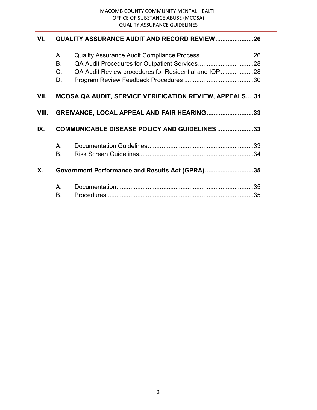| VI.     | <b>QUALITY ASSURANCE AUDIT AND RECORD REVIEW 26</b>           |                                                      |  |  |
|---------|---------------------------------------------------------------|------------------------------------------------------|--|--|
|         | Α.                                                            |                                                      |  |  |
|         | <b>B.</b>                                                     |                                                      |  |  |
|         | C.                                                            | QA Audit Review procedures for Residential and IOP28 |  |  |
|         | D.                                                            |                                                      |  |  |
| VII.    | <b>MCOSA QA AUDIT, SERVICE VERIFICATION REVIEW, APPEALS31</b> |                                                      |  |  |
| VIII.   |                                                               | GREIVANCE, LOCAL APPEAL AND FAIR HEARING33           |  |  |
| IX.     | <b>COMMUNICABLE DISEASE POLICY AND GUIDELINES 33</b>          |                                                      |  |  |
|         | Α.                                                            |                                                      |  |  |
|         | Β.                                                            |                                                      |  |  |
| $X_{-}$ | Government Performance and Results Act (GPRA)35               |                                                      |  |  |
|         | А.                                                            |                                                      |  |  |
|         | В.                                                            |                                                      |  |  |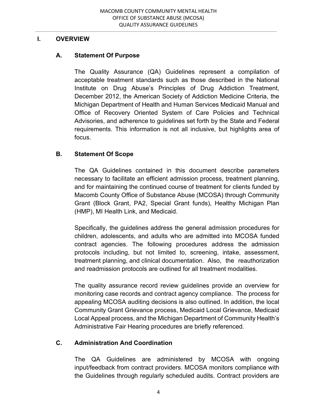#### I. OVERVIEW

## A. Statement Of Purpose

The Quality Assurance (QA) Guidelines represent a compilation of acceptable treatment standards such as those described in the National Institute on Drug Abuse's Principles of Drug Addiction Treatment, December 2012, the American Society of Addiction Medicine Criteria, the Michigan Department of Health and Human Services Medicaid Manual and Office of Recovery Oriented System of Care Policies and Technical Advisories, and adherence to guidelines set forth by the State and Federal requirements. This information is not all inclusive, but highlights area of focus.

## B. Statement Of Scope

The QA Guidelines contained in this document describe parameters necessary to facilitate an efficient admission process, treatment planning, and for maintaining the continued course of treatment for clients funded by Macomb County Office of Substance Abuse (MCOSA) through Community Grant (Block Grant, PA2, Special Grant funds), Healthy Michigan Plan (HMP), MI Health Link, and Medicaid.

Specifically, the guidelines address the general admission procedures for children, adolescents, and adults who are admitted into MCOSA funded contract agencies. The following procedures address the admission protocols including, but not limited to, screening, intake, assessment, treatment planning, and clinical documentation. Also, the reauthorization and readmission protocols are outlined for all treatment modalities.

The quality assurance record review guidelines provide an overview for monitoring case records and contract agency compliance. The process for appealing MCOSA auditing decisions is also outlined. In addition, the local Community Grant Grievance process, Medicaid Local Grievance, Medicaid Local Appeal process, and the Michigan Department of Community Health's Administrative Fair Hearing procedures are briefly referenced.

## C. Administration And Coordination

The QA Guidelines are administered by MCOSA with ongoing input/feedback from contract providers. MCOSA monitors compliance with the Guidelines through regularly scheduled audits. Contract providers are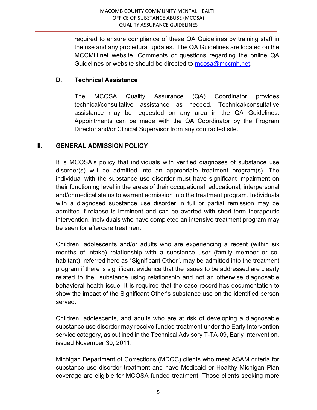required to ensure compliance of these QA Guidelines by training staff in the use and any procedural updates. The QA Guidelines are located on the MCCMH.net website. Comments or questions regarding the online QA Guidelines or website should be directed to mcosa@mccmh.net.

## D. Technical Assistance

The MCOSA Quality Assurance (QA) Coordinator provides technical/consultative assistance as needed. Technical/consultative assistance may be requested on any area in the QA Guidelines. Appointments can be made with the QA Coordinator by the Program Director and/or Clinical Supervisor from any contracted site.

## II. GENERAL ADMISSION POLICY

It is MCOSA's policy that individuals with verified diagnoses of substance use disorder(s) will be admitted into an appropriate treatment program(s). The individual with the substance use disorder must have significant impairment on their functioning level in the areas of their occupational, educational, interpersonal and/or medical status to warrant admission into the treatment program. Individuals with a diagnosed substance use disorder in full or partial remission may be admitted if relapse is imminent and can be averted with short-term therapeutic intervention. Individuals who have completed an intensive treatment program may be seen for aftercare treatment.

Children, adolescents and/or adults who are experiencing a recent (within six months of intake) relationship with a substance user (family member or cohabitant), referred here as "Significant Other", may be admitted into the treatment program if there is significant evidence that the issues to be addressed are clearly related to the substance using relationship and not an otherwise diagnosable behavioral health issue. It is required that the case record has documentation to show the impact of the Significant Other's substance use on the identified person served.

Children, adolescents, and adults who are at risk of developing a diagnosable substance use disorder may receive funded treatment under the Early Intervention service category, as outlined in the Technical Advisory T-TA-09, Early Intervention, issued November 30, 2011.

Michigan Department of Corrections (MDOC) clients who meet ASAM criteria for substance use disorder treatment and have Medicaid or Healthy Michigan Plan coverage are eligible for MCOSA funded treatment. Those clients seeking more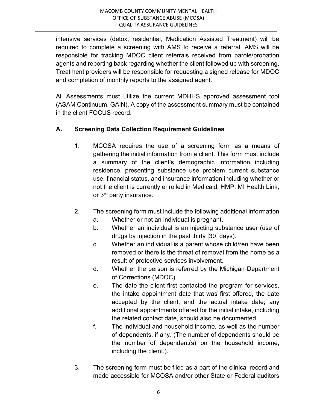intensive services (detox, residential, Medication Assisted Treatment) will be required to complete a screening with AMS to receive a referral. AMS will be responsible for tracking MDOC client referrals received from parole/probation agents and reporting back regarding whether the client followed up with screening. Treatment providers will be responsible for requesting a signed release for MDOC and completion of monthly reports to the assigned agent.

All Assessments must utilize the current MDHHS approved assessment tool (ASAM Continuum, GAIN). A copy of the assessment summary must be contained in the client FOCUS record.

# A. Screening Data Collection Requirement Guidelines

- 1. MCOSA requires the use of a screening form as a means of gathering the initial information from a client. This form must include a summary of the client's demographic information including residence, presenting substance use problem current substance use, financial status, and insurance information including whether or not the client is currently enrolled in Medicaid, HMP, MI Health Link, or 3rd party insurance.
- 2. The screening form must include the following additional information
	- a. Whether or not an individual is pregnant.
	- b. Whether an individual is an injecting substance user (use of drugs by injection in the past thirty [30] days).
	- c. Whether an individual is a parent whose child/ren have been removed or there is the threat of removal from the home as a result of protective services involvement.
	- d. Whether the person is referred by the Michigan Department of Corrections (MDOC)
	- e. The date the client first contacted the program for services, the intake appointment date that was first offered, the date accepted by the client, and the actual intake date; any additional appointments offered for the initial intake, including the related contact date, should also be documented.
	- f. The individual and household income, as well as the number of dependents, if any. (The number of dependents should be the number of dependent(s) on the household income, including the client.).
- 3. The screening form must be filed as a part of the clinical record and made accessible for MCOSA and/or other State or Federal auditors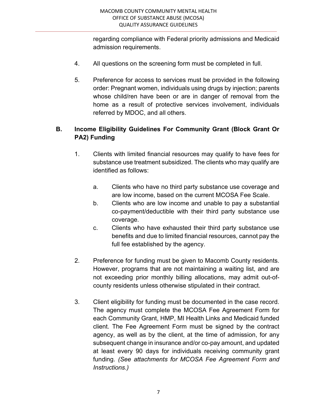regarding compliance with Federal priority admissions and Medicaid admission requirements.

- 4. All questions on the screening form must be completed in full.
- 5. Preference for access to services must be provided in the following order: Pregnant women, individuals using drugs by injection; parents whose child/ren have been or are in danger of removal from the home as a result of protective services involvement, individuals referred by MDOC, and all others.

# B. Income Eligibility Guidelines For Community Grant (Block Grant Or PA2) Funding

- 1. Clients with limited financial resources may qualify to have fees for substance use treatment subsidized. The clients who may qualify are identified as follows:
	- a. Clients who have no third party substance use coverage and are low income, based on the current MCOSA Fee Scale.
	- b. Clients who are low income and unable to pay a substantial co-payment/deductible with their third party substance use coverage.
	- c. Clients who have exhausted their third party substance use benefits and due to limited financial resources, cannot pay the full fee established by the agency.
- 2. Preference for funding must be given to Macomb County residents. However, programs that are not maintaining a waiting list, and are not exceeding prior monthly billing allocations, may admit out-ofcounty residents unless otherwise stipulated in their contract.
- 3. Client eligibility for funding must be documented in the case record. The agency must complete the MCOSA Fee Agreement Form for each Community Grant, HMP, MI Health Links and Medicaid funded client. The Fee Agreement Form must be signed by the contract agency, as well as by the client, at the time of admission, for any subsequent change in insurance and/or co-pay amount, and updated at least every 90 days for individuals receiving community grant funding. (See attachments for MCOSA Fee Agreement Form and Instructions.)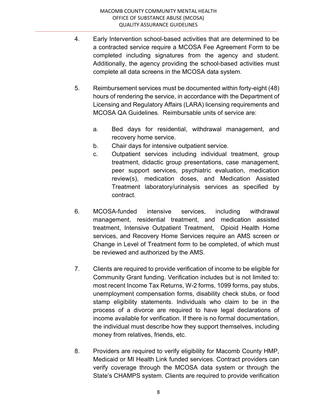- 4. Early Intervention school-based activities that are determined to be a contracted service require a MCOSA Fee Agreement Form to be completed including signatures from the agency and student. Additionally, the agency providing the school-based activities must complete all data screens in the MCOSA data system.
- 5. Reimbursement services must be documented within forty-eight (48) hours of rendering the service, in accordance with the Department of Licensing and Regulatory Affairs (LARA) licensing requirements and MCOSA QA Guidelines. Reimbursable units of service are:
	- a. Bed days for residential, withdrawal management, and recovery home service.
	- b. Chair days for intensive outpatient service.
	- c. Outpatient services including individual treatment, group treatment, didactic group presentations, case management, peer support services, psychiatric evaluation, medication review(s), medication doses, and Medication Assisted Treatment laboratory/urinalysis services as specified by contract.
- 6. MCOSA-funded intensive services, including withdrawal management, residential treatment, and medication assisted treatment, Intensive Outpatient Treatment, Opioid Health Home services, and Recovery Home Services require an AMS screen or Change in Level of Treatment form to be completed, of which must be reviewed and authorized by the AMS.
- 7. Clients are required to provide verification of income to be eligible for Community Grant funding. Verification includes but is not limited to: most recent Income Tax Returns, W-2 forms, 1099 forms, pay stubs, unemployment compensation forms, disability check stubs, or food stamp eligibility statements. Individuals who claim to be in the process of a divorce are required to have legal declarations of income available for verification. If there is no formal documentation, the individual must describe how they support themselves, including money from relatives, friends, etc.
- 8. Providers are required to verify eligibility for Macomb County HMP, Medicaid or MI Health Link funded services. Contract providers can verify coverage through the MCOSA data system or through the State's CHAMPS system. Clients are required to provide verification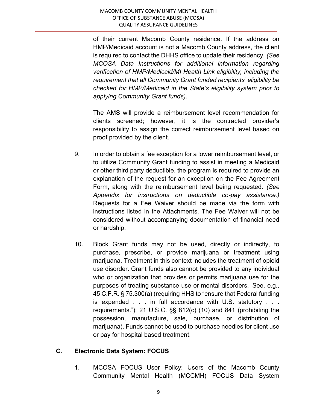of their current Macomb County residence. If the address on HMP/Medicaid account is not a Macomb County address, the client is required to contact the DHHS office to update their residency. (See MCOSA Data Instructions for additional information regarding verification of HMP/Medicaid/MI Health Link eligibility, including the requirement that all Community Grant funded recipients' eligibility be checked for HMP/Medicaid in the State's eligibility system prior to applying Community Grant funds).

 The AMS will provide a reimbursement level recommendation for clients screened; however, it is the contracted provider's responsibility to assign the correct reimbursement level based on proof provided by the client.

- 9. In order to obtain a fee exception for a lower reimbursement level, or to utilize Community Grant funding to assist in meeting a Medicaid or other third party deductible, the program is required to provide an explanation of the request for an exception on the Fee Agreement Form, along with the reimbursement level being requested. (See Appendix for instructions on deductible co-pay assistance.) Requests for a Fee Waiver should be made via the form with instructions listed in the Attachments. The Fee Waiver will not be considered without accompanying documentation of financial need or hardship.
- 10. Block Grant funds may not be used, directly or indirectly, to purchase, prescribe, or provide marijuana or treatment using marijuana. Treatment in this context includes the treatment of opioid use disorder. Grant funds also cannot be provided to any individual who or organization that provides or permits marijuana use for the purposes of treating substance use or mental disorders. See, e.g., 45 C.F.R. § 75.300(a) (requiring HHS to "ensure that Federal funding is expended . . . in full accordance with U.S. statutory . . . requirements."); 21 U.S.C. §§ 812(c) (10) and 841 (prohibiting the possession, manufacture, sale, purchase, or distribution of marijuana). Funds cannot be used to purchase needles for client use or pay for hospital based treatment.

## C. Electronic Data System: FOCUS

1. MCOSA FOCUS User Policy: Users of the Macomb County Community Mental Health (MCCMH) FOCUS Data System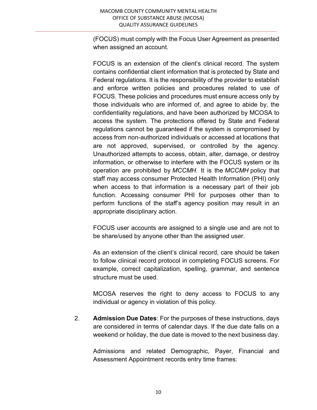(FOCUS) must comply with the Focus User Agreement as presented when assigned an account.

 FOCUS is an extension of the client's clinical record. The system contains confidential client information that is protected by State and Federal regulations. It is the responsibility of the provider to establish and enforce written policies and procedures related to use of FOCUS. These policies and procedures must ensure access only by those individuals who are informed of, and agree to abide by, the confidentiality regulations, and have been authorized by MCOSA to access the system. The protections offered by State and Federal regulations cannot be guaranteed if the system is compromised by access from non-authorized individuals or accessed at locations that are not approved, supervised, or controlled by the agency. Unauthorized attempts to access, obtain, alter, damage, or destroy information, or otherwise to interfere with the FOCUS system or its operation are prohibited by MCCMH. It is the MCCMH policy that staff may access consumer Protected Health Information (PHI) only when access to that information is a necessary part of their job function. Accessing consumer PHI for purposes other than to perform functions of the staff's agency position may result in an appropriate disciplinary action.

 FOCUS user accounts are assigned to a single use and are not to be share/used by anyone other than the assigned user.

 As an extension of the client's clinical record, care should be taken to follow clinical record protocol in completing FOCUS screens. For example, correct capitalization, spelling, grammar, and sentence structure must be used.

 MCOSA reserves the right to deny access to FOCUS to any individual or agency in violation of this policy.

 2. Admission Due Dates: For the purposes of these instructions, days are considered in terms of calendar days. If the due date falls on a weekend or holiday, the due date is moved to the next business day.

 Admissions and related Demographic, Payer, Financial and Assessment Appointment records entry time frames: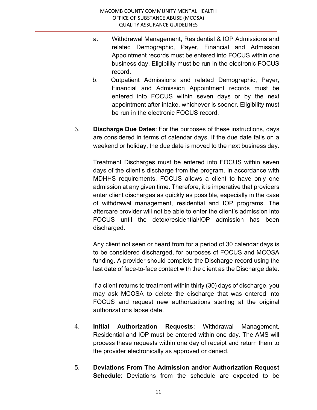- a. Withdrawal Management, Residential & IOP Admissions and related Demographic, Payer, Financial and Admission Appointment records must be entered into FOCUS within one business day. Eligibility must be run in the electronic FOCUS record.
- b. Outpatient Admissions and related Demographic, Payer, Financial and Admission Appointment records must be entered into FOCUS within seven days or by the next appointment after intake, whichever is sooner. Eligibility must be run in the electronic FOCUS record.
- 3. Discharge Due Dates: For the purposes of these instructions, days are considered in terms of calendar days. If the due date falls on a weekend or holiday, the due date is moved to the next business day.

 Treatment Discharges must be entered into FOCUS within seven days of the client's discharge from the program. In accordance with MDHHS requirements, FOCUS allows a client to have only one admission at any given time. Therefore, it is imperative that providers enter client discharges as quickly as possible, especially in the case of withdrawal management, residential and IOP programs. The aftercare provider will not be able to enter the client's admission into FOCUS until the detox/residential/IOP admission has been discharged.

 Any client not seen or heard from for a period of 30 calendar days is to be considered discharged, for purposes of FOCUS and MCOSA funding. A provider should complete the Discharge record using the last date of face-to-face contact with the client as the Discharge date.

 If a client returns to treatment within thirty (30) days of discharge, you may ask MCOSA to delete the discharge that was entered into FOCUS and request new authorizations starting at the original authorizations lapse date.

- 4. Initial Authorization Requests: Withdrawal Management, Residential and IOP must be entered within one day. The AMS will process these requests within one day of receipt and return them to the provider electronically as approved or denied.
- 5. Deviations From The Admission and/or Authorization Request Schedule: Deviations from the schedule are expected to be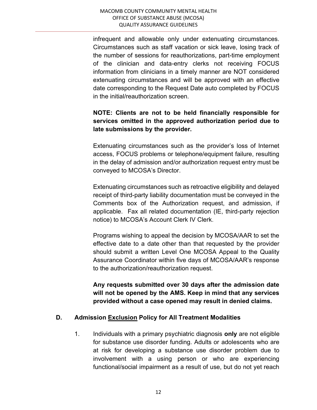infrequent and allowable only under extenuating circumstances. Circumstances such as staff vacation or sick leave, losing track of the number of sessions for reauthorizations, part-time employment of the clinician and data-entry clerks not receiving FOCUS information from clinicians in a timely manner are NOT considered extenuating circumstances and will be approved with an effective date corresponding to the Request Date auto completed by FOCUS in the initial/reauthorization screen.

# NOTE: Clients are not to be held financially responsible for services omitted in the approved authorization period due to late submissions by the provider.

 Extenuating circumstances such as the provider's loss of Internet access, FOCUS problems or telephone/equipment failure, resulting in the delay of admission and/or authorization request entry must be conveyed to MCOSA's Director.

Extenuating circumstances such as retroactive eligibility and delayed receipt of third-party liability documentation must be conveyed in the Comments box of the Authorization request, and admission, if applicable. Fax all related documentation (IE, third-party rejection notice) to MCOSA's Account Clerk IV Clerk.

Programs wishing to appeal the decision by MCOSA/AAR to set the effective date to a date other than that requested by the provider should submit a written Level One MCOSA Appeal to the Quality Assurance Coordinator within five days of MCOSA/AAR's response to the authorization/reauthorization request.

Any requests submitted over 30 days after the admission date will not be opened by the AMS. Keep in mind that any services provided without a case opened may result in denied claims.

## D. Admission Exclusion Policy for All Treatment Modalities

 1. Individuals with a primary psychiatric diagnosis only are not eligible for substance use disorder funding. Adults or adolescents who are at risk for developing a substance use disorder problem due to involvement with a using person or who are experiencing functional/social impairment as a result of use, but do not yet reach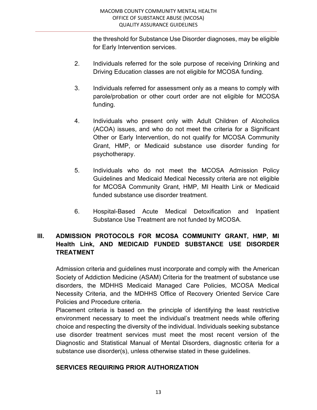the threshold for Substance Use Disorder diagnoses, may be eligible for Early Intervention services.

- 2. Individuals referred for the sole purpose of receiving Drinking and Driving Education classes are not eligible for MCOSA funding.
- 3. Individuals referred for assessment only as a means to comply with parole/probation or other court order are not eligible for MCOSA funding.
- 4. Individuals who present only with Adult Children of Alcoholics (ACOA) issues, and who do not meet the criteria for a Significant Other or Early Intervention, do not qualify for MCOSA Community Grant, HMP, or Medicaid substance use disorder funding for psychotherapy.
- 5. Individuals who do not meet the MCOSA Admission Policy Guidelines and Medicaid Medical Necessity criteria are not eligible for MCOSA Community Grant, HMP, MI Health Link or Medicaid funded substance use disorder treatment.
- 6. Hospital-Based Acute Medical Detoxification and Inpatient Substance Use Treatment are not funded by MCOSA.

# III. ADMISSION PROTOCOLS FOR MCOSA COMMUNITY GRANT, HMP, MI Health Link, AND MEDICAID FUNDED SUBSTANCE USE DISORDER TREATMENT

Admission criteria and guidelines must incorporate and comply with the American Society of Addiction Medicine (ASAM) Criteria for the treatment of substance use disorders, the MDHHS Medicaid Managed Care Policies, MCOSA Medical Necessity Criteria, and the MDHHS Office of Recovery Oriented Service Care Policies and Procedure criteria.

 Placement criteria is based on the principle of identifying the least restrictive environment necessary to meet the individual's treatment needs while offering choice and respecting the diversity of the individual. Individuals seeking substance use disorder treatment services must meet the most recent version of the Diagnostic and Statistical Manual of Mental Disorders, diagnostic criteria for a substance use disorder(s), unless otherwise stated in these guidelines.

#### SERVICES REQUIRING PRIOR AUTHORIZATION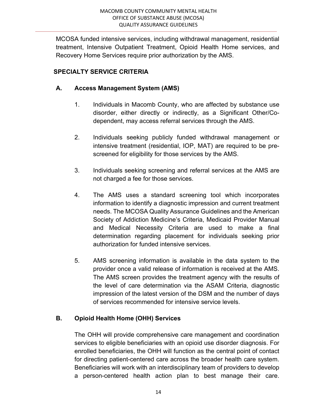MCOSA funded intensive services, including withdrawal management, residential treatment, Intensive Outpatient Treatment, Opioid Health Home services, and Recovery Home Services require prior authorization by the AMS.

# SPECIALTY SERVICE CRITERIA

# A. Access Management System (AMS)

- 1. Individuals in Macomb County, who are affected by substance use disorder, either directly or indirectly, as a Significant Other/Codependent, may access referral services through the AMS.
- 2. Individuals seeking publicly funded withdrawal management or intensive treatment (residential, IOP, MAT) are required to be prescreened for eligibility for those services by the AMS.
- 3. Individuals seeking screening and referral services at the AMS are not charged a fee for those services.
- 4. The AMS uses a standard screening tool which incorporates information to identify a diagnostic impression and current treatment needs. The MCOSA Quality Assurance Guidelines and the American Society of Addiction Medicine's Criteria, Medicaid Provider Manual and Medical Necessity Criteria are used to make a final determination regarding placement for individuals seeking prior authorization for funded intensive services.
- 5. AMS screening information is available in the data system to the provider once a valid release of information is received at the AMS. The AMS screen provides the treatment agency with the results of the level of care determination via the ASAM Criteria, diagnostic impression of the latest version of the DSM and the number of days of services recommended for intensive service levels.

# B. Opioid Health Home (OHH) Services

 The OHH will provide comprehensive care management and coordination services to eligible beneficiaries with an opioid use disorder diagnosis. For enrolled beneficiaries, the OHH will function as the central point of contact for directing patient-centered care across the broader health care system. Beneficiaries will work with an interdisciplinary team of providers to develop a person-centered health action plan to best manage their care.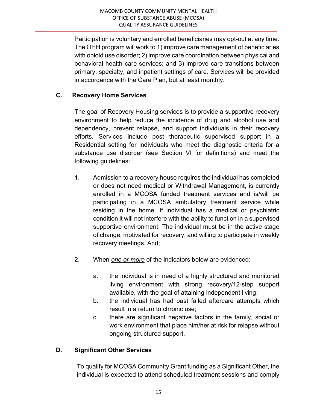Participation is voluntary and enrolled beneficiaries may opt-out at any time. The OHH program will work to 1) improve care management of beneficiaries with opioid use disorder; 2) improve care coordination between physical and behavioral health care services; and 3) improve care transitions between primary, specialty, and inpatient settings of care. Services will be provided in accordance with the Care Plan, but at least monthly.

# C. Recovery Home Services

The goal of Recovery Housing services is to provide a supportive recovery environment to help reduce the incidence of drug and alcohol use and dependency, prevent relapse, and support individuals in their recovery efforts. Services include post therapeutic supervised support in a Residential setting for individuals who meet the diagnostic criteria for a substance use disorder (see Section VI for definitions) and meet the following guidelines:

- 1. Admission to a recovery house requires the individual has completed or does not need medical or Withdrawal Management, is currently enrolled in a MCOSA funded treatment services and is/will be participating in a MCOSA ambulatory treatment service while residing in the home. If individual has a medical or psychiatric condition it will not interfere with the ability to function in a supervised supportive environment. The individual must be in the active stage of change, motivated for recovery, and willing to participate in weekly recovery meetings. And;
- 2. When one or more of the indicators below are evidenced:
	- a. the individual is in need of a highly structured and monitored living environment with strong recovery/12-step support available, with the goal of attaining independent living;
	- b. the individual has had past failed aftercare attempts which result in a return to chronic use;
	- c. there are significant negative factors in the family, social or work environment that place him/her at risk for relapse without ongoing structured support.

# D. Significant Other Services

 To qualify for MCOSA Community Grant funding as a Significant Other, the individual is expected to attend scheduled treatment sessions and comply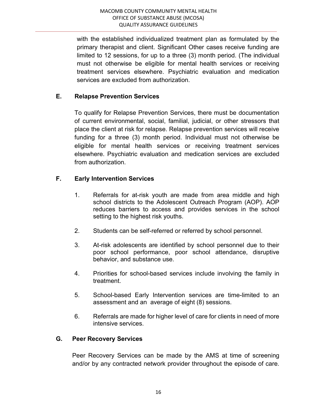with the established individualized treatment plan as formulated by the primary therapist and client. Significant Other cases receive funding are limited to 12 sessions, for up to a three (3) month period. (The individual must not otherwise be eligible for mental health services or receiving treatment services elsewhere. Psychiatric evaluation and medication services are excluded from authorization.

## E. Relapse Prevention Services

To qualify for Relapse Prevention Services, there must be documentation of current environmental, social, familial, judicial, or other stressors that place the client at risk for relapse. Relapse prevention services will receive funding for a three (3) month period. Individual must not otherwise be eligible for mental health services or receiving treatment services elsewhere. Psychiatric evaluation and medication services are excluded from authorization.

# F. Early Intervention Services

- 1. Referrals for at-risk youth are made from area middle and high school districts to the Adolescent Outreach Program (AOP). AOP reduces barriers to access and provides services in the school setting to the highest risk youths.
- 2. Students can be self-referred or referred by school personnel.
- 3. At-risk adolescents are identified by school personnel due to their poor school performance, poor school attendance, disruptive behavior, and substance use.
- 4. Priorities for school-based services include involving the family in treatment.
- 5. School-based Early Intervention services are time-limited to an assessment and an average of eight (8) sessions.
- 6. Referrals are made for higher level of care for clients in need of more intensive services.

## G. Peer Recovery Services

Peer Recovery Services can be made by the AMS at time of screening and/or by any contracted network provider throughout the episode of care.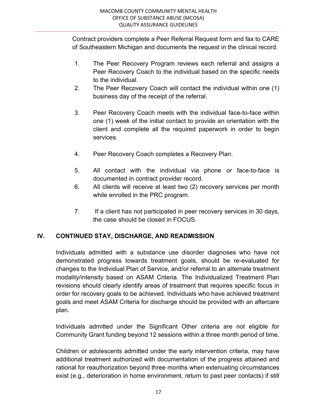Contract providers complete a Peer Referral Request form and fax to CARE of Southeastern Michigan and documents the request in the clinical record.

- 1. The Peer Recovery Program reviews each referral and assigns a Peer Recovery Coach to the individual based on the specific needs to the individual.
- 2. The Peer Recovery Coach will contact the individual within one (1) business day of the receipt of the referral.
- 3. Peer Recovery Coach meets with the individual face-to-face within one (1) week of the initial contact to provide an orientation with the client and complete all the required paperwork in order to begin services.
- 4. Peer Recovery Coach completes a Recovery Plan.
- 5. All contact with the individual via phone or face-to-face is documented in contract provider record.
- 6. All clients will receive at least two (2) recovery services per month while enrolled in the PRC program.
- 7. If a client has not participated in peer recovery services in 30 days, the case should be closed in FOCUS.

# IV. CONTINUED STAY, DISCHARGE, AND READMISSION

Individuals admitted with a substance use disorder diagnoses who have not demonstrated progress towards treatment goals, should be re-evaluated for changes to the Individual Plan of Service, and/or referral to an alternate treatment modality/intensity based on ASAM Criteria. The Individualized Treatment Plan revisions should clearly identify areas of treatment that requires specific focus in order for recovery goals to be achieved. Individuals who have achieved treatment goals and meet ASAM Criteria for discharge should be provided with an aftercare plan.

Individuals admitted under the Significant Other criteria are not eligible for Community Grant funding beyond 12 sessions within a three month period of time.

Children or adolescents admitted under the early intervention criteria, may have additional treatment authorized with documentation of the progress attained and rational for reauthorization beyond three months when extenuating circumstances exist (e.g., deterioration in home environment, return to past peer contacts) if still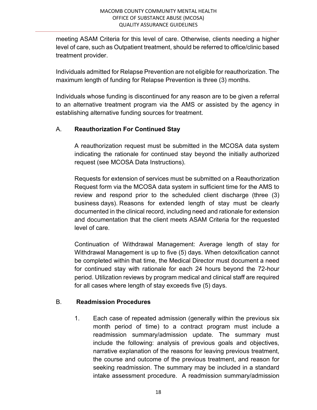meeting ASAM Criteria for this level of care. Otherwise, clients needing a higher level of care, such as Outpatient treatment, should be referred to office/clinic based treatment provider.

Individuals admitted for Relapse Prevention are not eligible for reauthorization. The maximum length of funding for Relapse Prevention is three (3) months.

Individuals whose funding is discontinued for any reason are to be given a referral to an alternative treatment program via the AMS or assisted by the agency in establishing alternative funding sources for treatment.

## A. Reauthorization For Continued Stay

A reauthorization request must be submitted in the MCOSA data system indicating the rationale for continued stay beyond the initially authorized request (see MCOSA Data Instructions).

Requests for extension of services must be submitted on a Reauthorization Request form via the MCOSA data system in sufficient time for the AMS to review and respond prior to the scheduled client discharge (three (3) business days). Reasons for extended length of stay must be clearly documented in the clinical record, including need and rationale for extension and documentation that the client meets ASAM Criteria for the requested level of care.

Continuation of Withdrawal Management: Average length of stay for Withdrawal Management is up to five (5) days. When detoxification cannot be completed within that time, the Medical Director must document a need for continued stay with rationale for each 24 hours beyond the 72-hour period. Utilization reviews by program medical and clinical staff are required for all cases where length of stay exceeds five (5) days.

## B. Readmission Procedures

1. Each case of repeated admission (generally within the previous six month period of time) to a contract program must include a readmission summary/admission update. The summary must include the following: analysis of previous goals and objectives, narrative explanation of the reasons for leaving previous treatment, the course and outcome of the previous treatment, and reason for seeking readmission. The summary may be included in a standard intake assessment procedure. A readmission summary/admission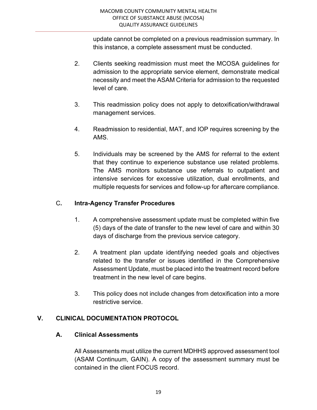update cannot be completed on a previous readmission summary. In this instance, a complete assessment must be conducted.

- 2. Clients seeking readmission must meet the MCOSA guidelines for admission to the appropriate service element, demonstrate medical necessity and meet the ASAM Criteria for admission to the requested level of care.
- 3. This readmission policy does not apply to detoxification/withdrawal management services.
- 4. Readmission to residential, MAT, and IOP requires screening by the AMS.
- 5. Individuals may be screened by the AMS for referral to the extent that they continue to experience substance use related problems. The AMS monitors substance use referrals to outpatient and intensive services for excessive utilization, dual enrollments, and multiple requests for services and follow-up for aftercare compliance.

# C. Intra-Agency Transfer Procedures

- 1. A comprehensive assessment update must be completed within five (5) days of the date of transfer to the new level of care and within 30 days of discharge from the previous service category.
- 2. A treatment plan update identifying needed goals and objectives related to the transfer or issues identified in the Comprehensive Assessment Update, must be placed into the treatment record before treatment in the new level of care begins.
- 3. This policy does not include changes from detoxification into a more restrictive service.

# V. CLINICAL DOCUMENTATION PROTOCOL

#### A. Clinical Assessments

All Assessments must utilize the current MDHHS approved assessment tool (ASAM Continuum, GAIN). A copy of the assessment summary must be contained in the client FOCUS record.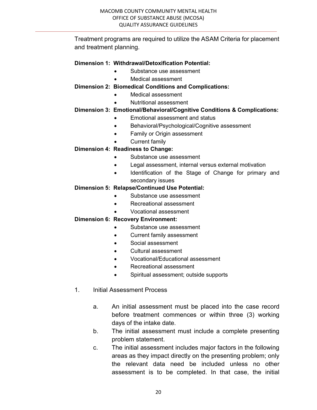Treatment programs are required to utilize the ASAM Criteria for placement and treatment planning.

#### Dimension 1: Withdrawal/Detoxification Potential:

- Substance use assessment
- Medical assessment

#### Dimension 2: Biomedical Conditions and Complications:

- Medical assessment
	- Nutritional assessment

#### Dimension 3: Emotional/Behavioral/Cognitive Conditions & Complications:

- Emotional assessment and status
- Behavioral/Psychological/Cognitive assessment
- Family or Origin assessment
- Current family

#### Dimension 4: Readiness to Change:

- Substance use assessment
- Legal assessment, internal versus external motivation
- Identification of the Stage of Change for primary and secondary issues

#### Dimension 5: Relapse/Continued Use Potential:

- Substance use assessment
- Recreational assessment
- Vocational assessment

#### Dimension 6: Recovery Environment:

- Substance use assessment
- Current family assessment
- Social assessment
- Cultural assessment
- Vocational/Educational assessment
- Recreational assessment
- Spiritual assessment; outside supports
- 1. Initial Assessment Process
	- a. An initial assessment must be placed into the case record before treatment commences or within three (3) working days of the intake date.
	- b. The initial assessment must include a complete presenting problem statement.
	- c. The initial assessment includes major factors in the following areas as they impact directly on the presenting problem; only the relevant data need be included unless no other assessment is to be completed. In that case, the initial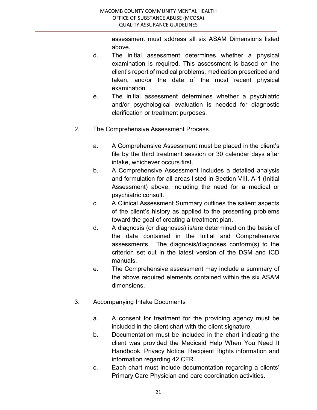assessment must address all six ASAM Dimensions listed above.

- d. The initial assessment determines whether a physical examination is required. This assessment is based on the client's report of medical problems, medication prescribed and taken, and/or the date of the most recent physical examination.
- e. The initial assessment determines whether a psychiatric and/or psychological evaluation is needed for diagnostic clarification or treatment purposes.
- 2. The Comprehensive Assessment Process
	- a. A Comprehensive Assessment must be placed in the client's file by the third treatment session or 30 calendar days after intake, whichever occurs first.
	- b. A Comprehensive Assessment includes a detailed analysis and formulation for all areas listed in Section VIII, A-1 (Initial Assessment) above, including the need for a medical or psychiatric consult.
	- c. A Clinical Assessment Summary outlines the salient aspects of the client's history as applied to the presenting problems toward the goal of creating a treatment plan.
	- d. A diagnosis (or diagnoses) is/are determined on the basis of the data contained in the Initial and Comprehensive assessments. The diagnosis/diagnoses conform(s) to the criterion set out in the latest version of the DSM and ICD manuals.
	- e. The Comprehensive assessment may include a summary of the above required elements contained within the six ASAM dimensions.
- 3. Accompanying Intake Documents
	- a. A consent for treatment for the providing agency must be included in the client chart with the client signature.
	- b. Documentation must be included in the chart indicating the client was provided the Medicaid Help When You Need It Handbook, Privacy Notice, Recipient Rights information and information regarding 42 CFR.
	- c. Each chart must include documentation regarding a clients' Primary Care Physician and care coordination activities.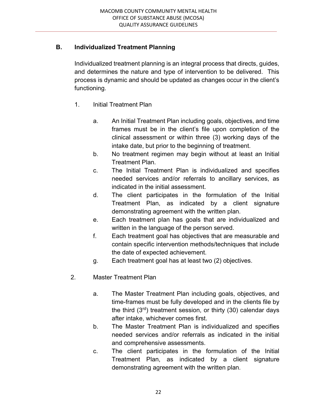# B. Individualized Treatment Planning

 Individualized treatment planning is an integral process that directs, guides, and determines the nature and type of intervention to be delivered. This process is dynamic and should be updated as changes occur in the client's functioning.

- 1. Initial Treatment Plan
	- a. An Initial Treatment Plan including goals, objectives, and time frames must be in the client's file upon completion of the clinical assessment or within three (3) working days of the intake date, but prior to the beginning of treatment.
	- b. No treatment regimen may begin without at least an Initial Treatment Plan.
	- c. The Initial Treatment Plan is individualized and specifies needed services and/or referrals to ancillary services, as indicated in the initial assessment.
	- d. The client participates in the formulation of the Initial Treatment Plan, as indicated by a client signature demonstrating agreement with the written plan.
	- e. Each treatment plan has goals that are individualized and written in the language of the person served.
	- f. Each treatment goal has objectives that are measurable and contain specific intervention methods/techniques that include the date of expected achievement.
	- g. Each treatment goal has at least two (2) objectives.
- 2. Master Treatment Plan
	- a. The Master Treatment Plan including goals, objectives, and time-frames must be fully developed and in the clients file by the third  $(3<sup>rd</sup>)$  treatment session, or thirty  $(30)$  calendar days after intake, whichever comes first.
	- b. The Master Treatment Plan is individualized and specifies needed services and/or referrals as indicated in the initial and comprehensive assessments.
	- c. The client participates in the formulation of the Initial Treatment Plan, as indicated by a client signature demonstrating agreement with the written plan.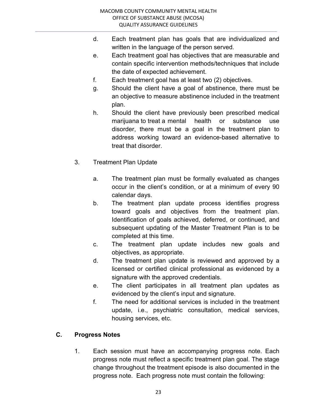- d. Each treatment plan has goals that are individualized and written in the language of the person served.
- e. Each treatment goal has objectives that are measurable and contain specific intervention methods/techniques that include the date of expected achievement.
- f. Each treatment goal has at least two (2) objectives.
- g. Should the client have a goal of abstinence, there must be an objective to measure abstinence included in the treatment plan.
- h. Should the client have previously been prescribed medical marijuana to treat a mental health or substance use disorder, there must be a goal in the treatment plan to address working toward an evidence-based alternative to treat that disorder.
- 3. Treatment Plan Update
	- a. The treatment plan must be formally evaluated as changes occur in the client's condition, or at a minimum of every 90 calendar days.
	- b. The treatment plan update process identifies progress toward goals and objectives from the treatment plan. Identification of goals achieved, deferred, or continued, and subsequent updating of the Master Treatment Plan is to be completed at this time.
	- c. The treatment plan update includes new goals and objectives, as appropriate.
	- d. The treatment plan update is reviewed and approved by a licensed or certified clinical professional as evidenced by a signature with the approved credentials.
	- e. The client participates in all treatment plan updates as evidenced by the client's input and signature.
	- f. The need for additional services is included in the treatment update, i.e., psychiatric consultation, medical services, housing services, etc.

## C. Progress Notes

 1. Each session must have an accompanying progress note. Each progress note must reflect a specific treatment plan goal. The stage change throughout the treatment episode is also documented in the progress note. Each progress note must contain the following: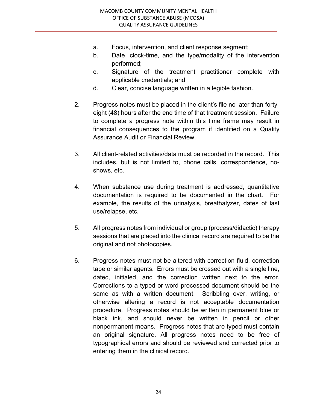- a. Focus, intervention, and client response segment;
- b. Date, clock-time, and the type/modality of the intervention performed;
- c. Signature of the treatment practitioner complete with applicable credentials; and
- d. Clear, concise language written in a legible fashion.
- 2. Progress notes must be placed in the client's file no later than fortyeight (48) hours after the end time of that treatment session. Failure to complete a progress note within this time frame may result in financial consequences to the program if identified on a Quality Assurance Audit or Financial Review.
- 3. All client-related activities/data must be recorded in the record. This includes, but is not limited to, phone calls, correspondence, noshows, etc.
- 4. When substance use during treatment is addressed, quantitative documentation is required to be documented in the chart. For example, the results of the urinalysis, breathalyzer, dates of last use/relapse, etc.
- 5. All progress notes from individual or group (process/didactic) therapy sessions that are placed into the clinical record are required to be the original and not photocopies.
- 6. Progress notes must not be altered with correction fluid, correction tape or similar agents. Errors must be crossed out with a single line, dated, initialed, and the correction written next to the error. Corrections to a typed or word processed document should be the same as with a written document. Scribbling over, writing, or otherwise altering a record is not acceptable documentation procedure. Progress notes should be written in permanent blue or black ink, and should never be written in pencil or other nonpermanent means. Progress notes that are typed must contain an original signature. All progress notes need to be free of typographical errors and should be reviewed and corrected prior to entering them in the clinical record.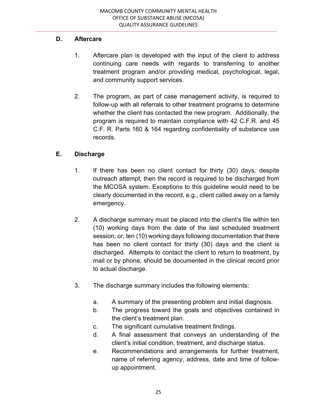# D. Aftercare

- 1. Aftercare plan is developed with the input of the client to address continuing care needs with regards to transferring to another treatment program and/or providing medical, psychological, legal, and community support services.
- 2. The program, as part of case management activity, is required to follow-up with all referrals to other treatment programs to determine whether the client has contacted the new program. Additionally, the program is required to maintain compliance with 42 C.F.R. and 45 C.F. R. Parts 160 & 164 regarding confidentiality of substance use records.

# E. Discharge

- 1. If there has been no client contact for thirty (30) days, despite outreach attempt, then the record is required to be discharged from the MCOSA system. Exceptions to this guideline would need to be clearly documented in the record, e.g., client called away on a family emergency.
- 2. A discharge summary must be placed into the client's file within ten (10) working days from the date of the last scheduled treatment session; or, ten (10) working days following documentation that there has been no client contact for thirty (30) days and the client is discharged. Attempts to contact the client to return to treatment, by mail or by phone, should be documented in the clinical record prior to actual discharge.
- 3. The discharge summary includes the following elements:
	- a. A summary of the presenting problem and initial diagnosis.
	- b. The progress toward the goals and objectives contained in the client's treatment plan.
	- c. The significant cumulative treatment findings.
	- d. A final assessment that conveys an understanding of the client's initial condition, treatment, and discharge status.
	- e. Recommendations and arrangements for further treatment, name of referring agency, address, date and time of follow up appointment.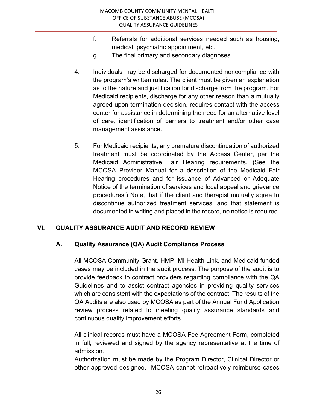- f. Referrals for additional services needed such as housing, medical, psychiatric appointment, etc.
- g. The final primary and secondary diagnoses.
- 4. Individuals may be discharged for documented noncompliance with the program's written rules. The client must be given an explanation as to the nature and justification for discharge from the program. For Medicaid recipients, discharge for any other reason than a mutually agreed upon termination decision, requires contact with the access center for assistance in determining the need for an alternative level of care, identification of barriers to treatment and/or other case management assistance.
- 5. For Medicaid recipients, any premature discontinuation of authorized treatment must be coordinated by the Access Center, per the Medicaid Administrative Fair Hearing requirements. (See the MCOSA Provider Manual for a description of the Medicaid Fair Hearing procedures and for issuance of Advanced or Adequate Notice of the termination of services and local appeal and grievance procedures.) Note, that if the client and therapist mutually agree to discontinue authorized treatment services, and that statement is documented in writing and placed in the record, no notice is required.

## VI. QUALITY ASSURANCE AUDIT AND RECORD REVIEW

## A. Quality Assurance (QA) Audit Compliance Process

 All MCOSA Community Grant, HMP, MI Health Link, and Medicaid funded cases may be included in the audit process. The purpose of the audit is to provide feedback to contract providers regarding compliance with the QA Guidelines and to assist contract agencies in providing quality services which are consistent with the expectations of the contract. The results of the QA Audits are also used by MCOSA as part of the Annual Fund Application review process related to meeting quality assurance standards and continuous quality improvement efforts.

 All clinical records must have a MCOSA Fee Agreement Form, completed in full, reviewed and signed by the agency representative at the time of admission.

 Authorization must be made by the Program Director, Clinical Director or other approved designee. MCOSA cannot retroactively reimburse cases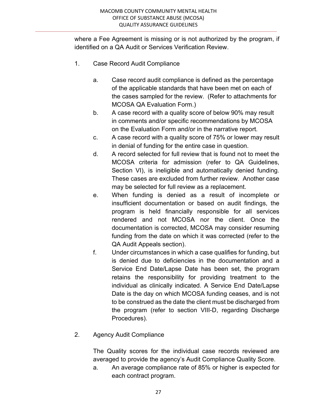where a Fee Agreement is missing or is not authorized by the program, if identified on a QA Audit or Services Verification Review.

- 1. Case Record Audit Compliance
	- a. Case record audit compliance is defined as the percentage of the applicable standards that have been met on each of the cases sampled for the review. (Refer to attachments for MCOSA QA Evaluation Form.)
	- b. A case record with a quality score of below 90% may result in comments and/or specific recommendations by MCOSA on the Evaluation Form and/or in the narrative report.
	- c. A case record with a quality score of 75% or lower may result in denial of funding for the entire case in question.
	- d. A record selected for full review that is found not to meet the MCOSA criteria for admission (refer to QA Guidelines, Section VI), is ineligible and automatically denied funding. These cases are excluded from further review. Another case may be selected for full review as a replacement.
	- e. When funding is denied as a result of incomplete or insufficient documentation or based on audit findings, the program is held financially responsible for all services rendered and not MCOSA nor the client. Once the documentation is corrected, MCOSA may consider resuming funding from the date on which it was corrected (refer to the QA Audit Appeals section).
	- f. Under circumstances in which a case qualifies for funding, but is denied due to deficiencies in the documentation and a Service End Date/Lapse Date has been set, the program retains the responsibility for providing treatment to the individual as clinically indicated. A Service End Date/Lapse Date is the day on which MCOSA funding ceases, and is not to be construed as the date the client must be discharged from the program (refer to section VIII-D, regarding Discharge Procedures).

## 2. Agency Audit Compliance

 The Quality scores for the individual case records reviewed are averaged to provide the agency's Audit Compliance Quality Score.

 a. An average compliance rate of 85% or higher is expected for each contract program.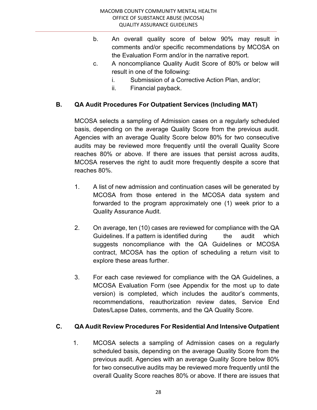- b. An overall quality score of below 90% may result in comments and/or specific recommendations by MCOSA on the Evaluation Form and/or in the narrative report.
- c. A noncompliance Quality Audit Score of 80% or below will result in one of the following:
	- i. Submission of a Corrective Action Plan, and/or;
	- ii. Financial payback.

# B. QA Audit Procedures For Outpatient Services (Including MAT)

 MCOSA selects a sampling of Admission cases on a regularly scheduled basis, depending on the average Quality Score from the previous audit. Agencies with an average Quality Score below 80% for two consecutive audits may be reviewed more frequently until the overall Quality Score reaches 80% or above. If there are issues that persist across audits, MCOSA reserves the right to audit more frequently despite a score that reaches 80%.

- 1. A list of new admission and continuation cases will be generated by MCOSA from those entered in the MCOSA data system and forwarded to the program approximately one (1) week prior to a Quality Assurance Audit.
- 2. On average, ten (10) cases are reviewed for compliance with the QA Guidelines. If a pattern is identified during the audit which suggests noncompliance with the QA Guidelines or MCOSA contract, MCOSA has the option of scheduling a return visit to explore these areas further.
- 3. For each case reviewed for compliance with the QA Guidelines, a MCOSA Evaluation Form (see Appendix for the most up to date version) is completed, which includes the auditor's comments, recommendations, reauthorization review dates, Service End Dates/Lapse Dates, comments, and the QA Quality Score.

## C. QA Audit Review Procedures For Residential And Intensive Outpatient

 1. MCOSA selects a sampling of Admission cases on a regularly scheduled basis, depending on the average Quality Score from the previous audit. Agencies with an average Quality Score below 80% for two consecutive audits may be reviewed more frequently until the overall Quality Score reaches 80% or above. If there are issues that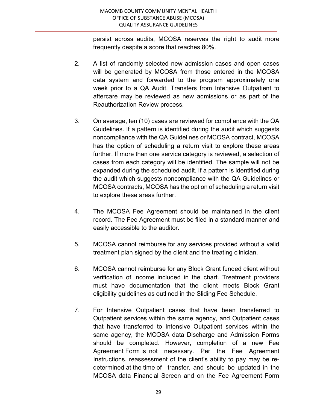persist across audits, MCOSA reserves the right to audit more frequently despite a score that reaches 80%.

- 2. A list of randomly selected new admission cases and open cases will be generated by MCOSA from those entered in the MCOSA data system and forwarded to the program approximately one week prior to a QA Audit. Transfers from Intensive Outpatient to aftercare may be reviewed as new admissions or as part of the Reauthorization Review process.
- 3. On average, ten (10) cases are reviewed for compliance with the QA Guidelines. If a pattern is identified during the audit which suggests noncompliance with the QA Guidelines or MCOSA contract, MCOSA has the option of scheduling a return visit to explore these areas further. If more than one service category is reviewed, a selection of cases from each category will be identified. The sample will not be expanded during the scheduled audit. If a pattern is identified during the audit which suggests noncompliance with the QA Guidelines or MCOSA contracts, MCOSA has the option of scheduling a return visit to explore these areas further.
- 4. The MCOSA Fee Agreement should be maintained in the client record. The Fee Agreement must be filed in a standard manner and easily accessible to the auditor.
- 5. MCOSA cannot reimburse for any services provided without a valid treatment plan signed by the client and the treating clinician.
- 6. MCOSA cannot reimburse for any Block Grant funded client without verification of income included in the chart. Treatment providers must have documentation that the client meets Block Grant eligibility guidelines as outlined in the Sliding Fee Schedule.
- 7. For Intensive Outpatient cases that have been transferred to Outpatient services within the same agency, and Outpatient cases that have transferred to Intensive Outpatient services within the same agency, the MCOSA data Discharge and Admission Forms should be completed. However, completion of a new Fee Agreement Form is not necessary. Per the Fee Agreement Instructions, reassessment of the client's ability to pay may be re determined at the time of transfer, and should be updated in the MCOSA data Financial Screen and on the Fee Agreement Form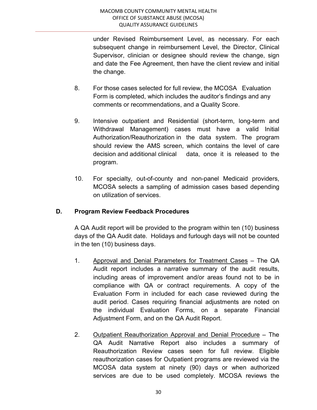under Revised Reimbursement Level, as necessary. For each subsequent change in reimbursement Level, the Director, Clinical Supervisor, clinician or designee should review the change, sign and date the Fee Agreement, then have the client review and initial the change.

- 8. For those cases selected for full review, the MCOSA Evaluation Form is completed, which includes the auditor's findings and any comments or recommendations, and a Quality Score.
- 9. Intensive outpatient and Residential (short-term, long-term and Withdrawal Management) cases must have a valid Initial Authorization/Reauthorization in the data system. The program should review the AMS screen, which contains the level of care decision and additional clinical data, once it is released to the program.
- 10. For specialty, out-of-county and non-panel Medicaid providers, MCOSA selects a sampling of admission cases based depending on utilization of services.

## D. Program Review Feedback Procedures

 A QA Audit report will be provided to the program within ten (10) business days of the QA Audit date. Holidays and furlough days will not be counted in the ten (10) business days.

- 1. Approval and Denial Parameters for Treatment Cases The QA Audit report includes a narrative summary of the audit results, including areas of improvement and/or areas found not to be in compliance with QA or contract requirements. A copy of the Evaluation Form in included for each case reviewed during the audit period. Cases requiring financial adjustments are noted on the individual Evaluation Forms, on a separate Financial Adjustment Form, and on the QA Audit Report.
- 2. Outpatient Reauthorization Approval and Denial Procedure The QA Audit Narrative Report also includes a summary of Reauthorization Review cases seen for full review. Eligible reauthorization cases for Outpatient programs are reviewed via the MCOSA data system at ninety (90) days or when authorized services are due to be used completely. MCOSA reviews the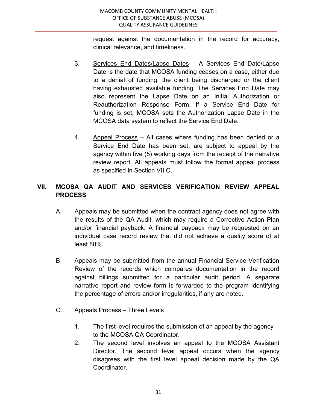request against the documentation in the record for accuracy, clinical relevance, and timeliness.

- 3. Services End Dates/Lapse Dates A Services End Date/Lapse Date is the date that MCOSA funding ceases on a case, either due to a denial of funding, the client being discharged or the client having exhausted available funding. The Services End Date may also represent the Lapse Date on an Initial Authorization or Reauthorization Response Form. If a Service End Date for funding is set, MCOSA sets the Authorization Lapse Date in the MCOSA data system to reflect the Service End Date.
- 4. Appeal Process All cases where funding has been denied or a Service End Date has been set, are subject to appeal by the agency within five (5) working days from the receipt of the narrative review report. All appeals must follow the formal appeal process as specified in Section VII.C.

# VII. MCOSA QA AUDIT AND SERVICES VERIFICATION REVIEW APPEAL PROCESS

- A. Appeals may be submitted when the contract agency does not agree with the results of the QA Audit, which may require a Corrective Action Plan and/or financial payback. A financial payback may be requested on an individual case record review that did not achieve a quality score of at least 80%.
- B. Appeals may be submitted from the annual Financial Service Verification Review of the records which compares documentation in the record against billings submitted for a particular audit period. A separate narrative report and review form is forwarded to the program identifying the percentage of errors and/or irregularities, if any are noted.
- C. Appeals Process Three Levels
	- 1. The first level requires the submission of an appeal by the agency to the MCOSA QA Coordinator.
	- 2. The second level involves an appeal to the MCOSA Assistant Director. The second level appeal occurs when the agency disagrees with the first level appeal decision made by the QA Coordinator.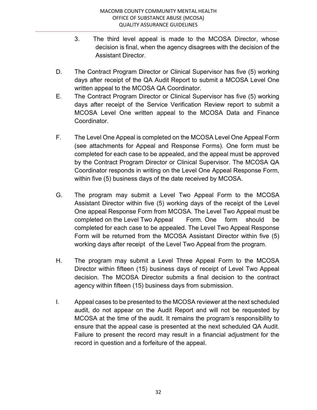- 3. The third level appeal is made to the MCOSA Director, whose decision is final, when the agency disagrees with the decision of the Assistant Director.
- D. The Contract Program Director or Clinical Supervisor has five (5) working days after receipt of the QA Audit Report to submit a MCOSA Level One written appeal to the MCOSA QA Coordinator.
- E. The Contract Program Director or Clinical Supervisor has five (5) working days after receipt of the Service Verification Review report to submit a MCOSA Level One written appeal to the MCOSA Data and Finance Coordinator.
- F. The Level One Appeal is completed on the MCOSA Level One Appeal Form (see attachments for Appeal and Response Forms). One form must be completed for each case to be appealed, and the appeal must be approved by the Contract Program Director or Clinical Supervisor. The MCOSA QA Coordinator responds in writing on the Level One Appeal Response Form, within five (5) business days of the date received by MCOSA.
- G. The program may submit a Level Two Appeal Form to the MCOSA Assistant Director within five (5) working days of the receipt of the Level One appeal Response Form from MCOSA. The Level Two Appeal must be completed on the Level Two Appeal Form. One form should be completed for each case to be appealed. The Level Two Appeal Response Form will be returned from the MCOSA Assistant Director within five (5) working days after receipt of the Level Two Appeal from the program.
- H. The program may submit a Level Three Appeal Form to the MCOSA Director within fifteen (15) business days of receipt of Level Two Appeal decision. The MCOSA Director submits a final decision to the contract agency within fifteen (15) business days from submission.
- I. Appeal cases to be presented to the MCOSA reviewer at the next scheduled audit, do not appear on the Audit Report and will not be requested by MCOSA at the time of the audit. It remains the program's responsibility to ensure that the appeal case is presented at the next scheduled QA Audit. Failure to present the record may result in a financial adjustment for the record in question and a forfeiture of the appeal.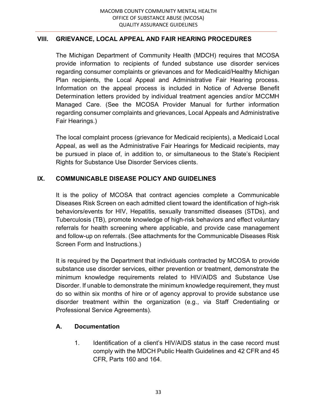## VIII. GRIEVANCE, LOCAL APPEAL AND FAIR HEARING PROCEDURES

The Michigan Department of Community Health (MDCH) requires that MCOSA provide information to recipients of funded substance use disorder services regarding consumer complaints or grievances and for Medicaid/Healthy Michigan Plan recipients, the Local Appeal and Administrative Fair Hearing process. Information on the appeal process is included in Notice of Adverse Benefit Determination letters provided by individual treatment agencies and/or MCCMH Managed Care. (See the MCOSA Provider Manual for further information regarding consumer complaints and grievances, Local Appeals and Administrative Fair Hearings.)

 The local complaint process (grievance for Medicaid recipients), a Medicaid Local Appeal, as well as the Administrative Fair Hearings for Medicaid recipients, may be pursued in place of, in addition to, or simultaneous to the State's Recipient Rights for Substance Use Disorder Services clients.

## IX. COMMUNICABLE DISEASE POLICY AND GUIDELINES

 It is the policy of MCOSA that contract agencies complete a Communicable Diseases Risk Screen on each admitted client toward the identification of high-risk behaviors/events for HIV, Hepatitis, sexually transmitted diseases (STDs), and Tuberculosis (TB), promote knowledge of high-risk behaviors and effect voluntary referrals for health screening where applicable, and provide case management and follow-up on referrals. (See attachments for the Communicable Diseases Risk Screen Form and Instructions.)

 It is required by the Department that individuals contracted by MCOSA to provide substance use disorder services, either prevention or treatment, demonstrate the minimum knowledge requirements related to HIV/AIDS and Substance Use Disorder. If unable to demonstrate the minimum knowledge requirement, they must do so within six months of hire or of agency approval to provide substance use disorder treatment within the organization (e.g., via Staff Credentialing or Professional Service Agreements).

#### A. Documentation

1. Identification of a client's HIV/AIDS status in the case record must comply with the MDCH Public Health Guidelines and 42 CFR and 45 CFR, Parts 160 and 164.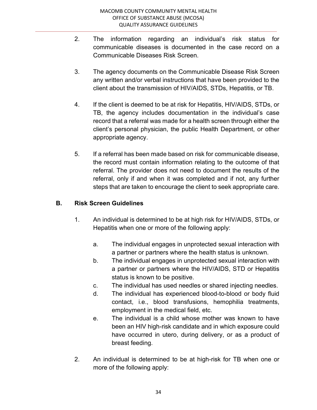- 2. The information regarding an individual's risk status for communicable diseases is documented in the case record on a Communicable Diseases Risk Screen.
- 3. The agency documents on the Communicable Disease Risk Screen any written and/or verbal instructions that have been provided to the client about the transmission of HIV/AIDS, STDs, Hepatitis, or TB.
- 4. If the client is deemed to be at risk for Hepatitis, HIV/AIDS, STDs, or TB, the agency includes documentation in the individual's case record that a referral was made for a health screen through either the client's personal physician, the public Health Department, or other appropriate agency.
- 5. If a referral has been made based on risk for communicable disease, the record must contain information relating to the outcome of that referral. The provider does not need to document the results of the referral, only if and when it was completed and if not, any further steps that are taken to encourage the client to seek appropriate care.

## B. Risk Screen Guidelines

- 1. An individual is determined to be at high risk for HIV/AIDS, STDs, or Hepatitis when one or more of the following apply:
	- a. The individual engages in unprotected sexual interaction with a partner or partners where the health status is unknown.
	- b. The individual engages in unprotected sexual interaction with a partner or partners where the HIV/AIDS, STD or Hepatitis status is known to be positive.
	- c. The individual has used needles or shared injecting needles.
	- d. The individual has experienced blood-to-blood or body fluid contact, i.e., blood transfusions, hemophilia treatments, employment in the medical field, etc.
	- e. The individual is a child whose mother was known to have been an HIV high-risk candidate and in which exposure could have occurred in utero, during delivery, or as a product of breast feeding.
- 2. An individual is determined to be at high-risk for TB when one or more of the following apply: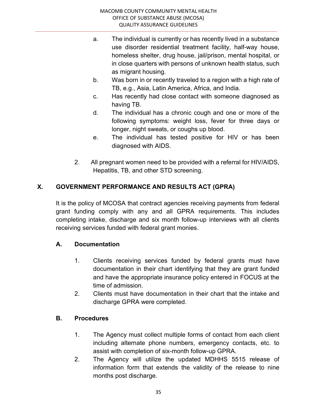- a. The individual is currently or has recently lived in a substance use disorder residential treatment facility, half-way house, homeless shelter, drug house, jail/prison, mental hospital, or in close quarters with persons of unknown health status, such as migrant housing.
- b. Was born in or recently traveled to a region with a high rate of TB, e.g., Asia, Latin America, Africa, and India.
- c. Has recently had close contact with someone diagnosed as having TB.
- d. The individual has a chronic cough and one or more of the following symptoms: weight loss, fever for three days or longer, night sweats, or coughs up blood.
- e. The individual has tested positive for HIV or has been diagnosed with AIDS.
- 2. All pregnant women need to be provided with a referral for HIV/AIDS, Hepatitis, TB, and other STD screening.

# X. GOVERNMENT PERFORMANCE AND RESULTS ACT (GPRA)

 It is the policy of MCOSA that contract agencies receiving payments from federal grant funding comply with any and all GPRA requirements. This includes completing intake, discharge and six month follow-up interviews with all clients receiving services funded with federal grant monies.

# A. Documentation

- 1. Clients receiving services funded by federal grants must have documentation in their chart identifying that they are grant funded and have the appropriate insurance policy entered in FOCUS at the time of admission.
- 2. Clients must have documentation in their chart that the intake and discharge GPRA were completed.

## B. Procedures

- 1. The Agency must collect multiple forms of contact from each client including alternate phone numbers, emergency contacts, etc. to assist with completion of six-month follow-up GPRA.
- 2. The Agency will utilize the updated MDHHS 5515 release of information form that extends the validity of the release to nine months post discharge.